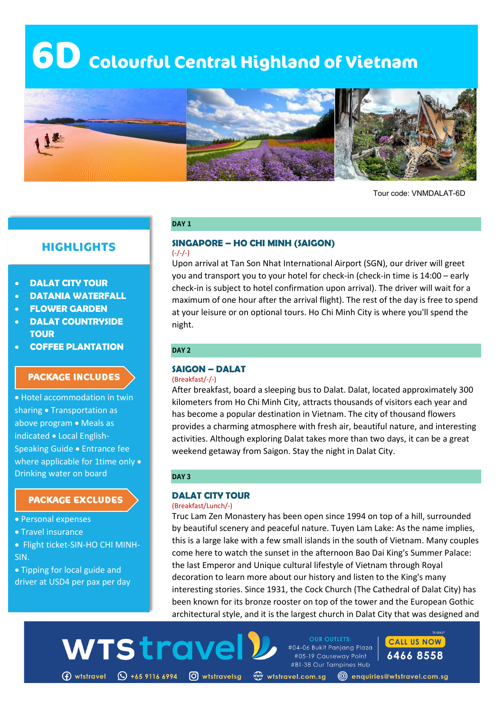# **6D Colourful Central Highland of Vietnam**



Tour code: VNMDALAT-6D

# **HIGHLIGHTS**

- **DALAT CITY TOUR**
- **DATANIA WATERFALL**
- **FLOWER GARDEN**
- **DALAT COUNTRYSIDE TOUR**
- **COFFEE PLANTATION**

# **PACKAGE INCLUDES**

• Hotel accommodation in twin sharing • Transportation as above program • Meals as indicated • Local English-Speaking Guide • Entrance fee where applicable for 1time only • Drinking water on board

## **PACKAGE EXCLUDES**

- Personal expenses
- Travel insurance
- Flight ticket-SIN-HO CHI MINH-SIN.
- Tipping for local guide and driver at USD4 per pax per day

#### **SINGAPORE – HO CHI MINH (SAIGON)**  $(-/-/-)$

Upon arrival at Tan Son Nhat International Airport (SGN), our driver will greet you and transport you to your hotel for check-in (check-in time is 14:00 – early check-in is subject to hotel confirmation upon arrival). The driver will wait for a maximum of one hour after the arrival flight). The rest of the day is free to spend at your leisure or on optional tours. Ho Chi Minh City is where you'll spend the night.

## **DAY 2**

**DAY 1**

# **SAIGON – DALAT**

(Breakfast/-/-)

After breakfast, board a sleeping bus to Dalat. Dalat, located approximately 300 kilometers from Ho Chi Minh City, attracts thousands of visitors each year and has become a popular destination in Vietnam. The city of thousand flowers provides a charming atmosphere with fresh air, beautiful nature, and interesting activities. Although exploring Dalat takes more than two days, it can be a great weekend getaway from Saigon. Stay the night in Dalat City.

#### **DAY 3**

# **DALAT CITY TOUR**

#### (Breakfast/Lunch/-)

Truc Lam Zen Monastery has been open since 1994 on top of a hill, surrounded by beautiful scenery and peaceful nature. Tuyen Lam Lake: As the name implies, this is a large lake with a few small islands in the south of Vietnam. Many couples come here to watch the sunset in the afternoon Bao Dai King's Summer Palace: the last Emperor and Unique cultural lifestyle of Vietnam through Royal decoration to learn more about our history and listen to the King's many interesting stories. Since 1931, the Cock Church (The Cathedral of Dalat City) has been known for its bronze rooster on top of the tower and the European Gothic architectural style, and it is the largest church in Dalat City that was designed and

**OUR OUTLETS:** 

#04-06 Bukit Panjang Plaza

#05-19 Causeway Point #B1-38 Our Tampines Hub



WTStrave

(f) wtstravel (Q +65 9116 6994 (O) wtstravelsg «www.tstravel.com.sg (@) enquiries@wtstravel.com.sg

**CALL US NOW** 

6466 8558